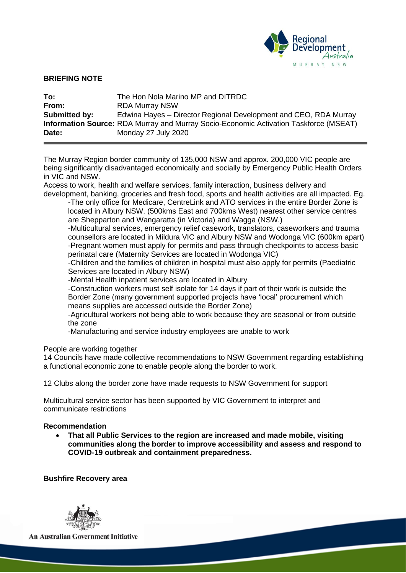

#### **BRIEFING NOTE**

| To:           | The Hon Nola Marino MP and DITRDC                                                            |
|---------------|----------------------------------------------------------------------------------------------|
| From:         | <b>RDA Murray NSW</b>                                                                        |
| Submitted by: | Edwina Hayes – Director Regional Development and CEO, RDA Murray                             |
|               | <b>Information Source:</b> RDA Murray and Murray Socio-Economic Activation Taskforce (MSEAT) |
| Date:         | Monday 27 July 2020                                                                          |

The Murray Region border community of 135,000 NSW and approx. 200,000 VIC people are being significantly disadvantaged economically and socially by Emergency Public Health Orders in VIC and NSW.

Access to work, health and welfare services, family interaction, business delivery and development, banking, groceries and fresh food, sports and health activities are all impacted. Eg.

-The only office for Medicare, CentreLink and ATO services in the entire Border Zone is located in Albury NSW. (500kms East and 700kms West) nearest other service centres are Shepparton and Wangaratta (in Victoria) and Wagga (NSW.)

-Multicultural services, emergency relief casework, translators, caseworkers and trauma counsellors are located in Mildura VIC and Albury NSW and Wodonga VIC (600km apart) -Pregnant women must apply for permits and pass through checkpoints to access basic perinatal care (Maternity Services are located in Wodonga VIC)

-Children and the families of children in hospital must also apply for permits (Paediatric Services are located in Albury NSW)

-Mental Health inpatient services are located in Albury

-Construction workers must self isolate for 14 days if part of their work is outside the Border Zone (many government supported projects have 'local' procurement which means supplies are accessed outside the Border Zone)

-Agricultural workers not being able to work because they are seasonal or from outside the zone

-Manufacturing and service industry employees are unable to work

People are working together

14 Councils have made collective recommendations to NSW Government regarding establishing a functional economic zone to enable people along the border to work.

12 Clubs along the border zone have made requests to NSW Government for support

Multicultural service sector has been supported by VIC Government to interpret and communicate restrictions

#### **Recommendation**

• **That all Public Services to the region are increased and made mobile, visiting communities along the border to improve accessibility and assess and respond to COVID-19 outbreak and containment preparedness.**

**Bushfire Recovery area**

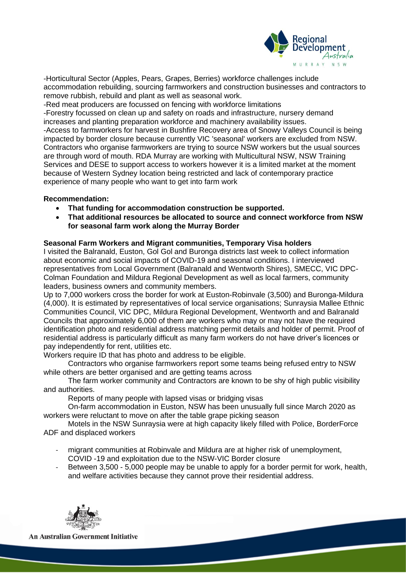

-Horticultural Sector (Apples, Pears, Grapes, Berries) workforce challenges include accommodation rebuilding, sourcing farmworkers and construction businesses and contractors to remove rubbish, rebuild and plant as well as seasonal work.

-Red meat producers are focussed on fencing with workforce limitations

-Forestry focussed on clean up and safety on roads and infrastructure, nursery demand increases and planting preparation workforce and machinery availability issues.

-Access to farmworkers for harvest in Bushfire Recovery area of Snowy Valleys Council is being impacted by border closure because currently VIC 'seasonal' workers are excluded from NSW. Contractors who organise farmworkers are trying to source NSW workers but the usual sources are through word of mouth. RDA Murray are working with Multicultural NSW, NSW Training Services and DESE to support access to workers however it is a limited market at the moment because of Western Sydney location being restricted and lack of contemporary practice experience of many people who want to get into farm work

# **Recommendation:**

- **That funding for accommodation construction be supported.**
- **That additional resources be allocated to source and connect workforce from NSW for seasonal farm work along the Murray Border**

# **Seasonal Farm Workers and Migrant communities, Temporary Visa holders**

I visited the Balranald, Euston, Gol Gol and Buronga districts last week to collect information about economic and social impacts of COVID-19 and seasonal conditions. I interviewed representatives from Local Government (Balranald and Wentworth Shires), SMECC, VIC DPC-Colman Foundation and Mildura Regional Development as well as local farmers, community leaders, business owners and community members.

Up to 7,000 workers cross the border for work at Euston-Robinvale (3,500) and Buronga-Mildura (4,000). It is estimated by representatives of local service organisations; Sunraysia Mallee Ethnic Communities Council, VIC DPC, Mildura Regional Development, Wentworth and and Balranald Councils that approximately 6,000 of them are workers who may or may not have the required identification photo and residential address matching permit details and holder of permit. Proof of residential address is particularly difficult as many farm workers do not have driver's licences or pay independently for rent, utilities etc.

Workers require ID that has photo and address to be eligible.

Contractors who organise farmworkers report some teams being refused entry to NSW while others are better organised and are getting teams across

The farm worker community and Contractors are known to be shy of high public visibility and authorities.

Reports of many people with lapsed visas or bridging visas

On-farm accommodation in Euston, NSW has been unusually full since March 2020 as workers were reluctant to move on after the table grape picking season

Motels in the NSW Sunraysia were at high capacity likely filled with Police, BorderForce ADF and displaced workers

- migrant communities at Robinvale and Mildura are at higher risk of unemployment, COVID -19 and exploitation due to the NSW-VIC Border closure
- Between 3,500 5,000 people may be unable to apply for a border permit for work, health, and welfare activities because they cannot prove their residential address.

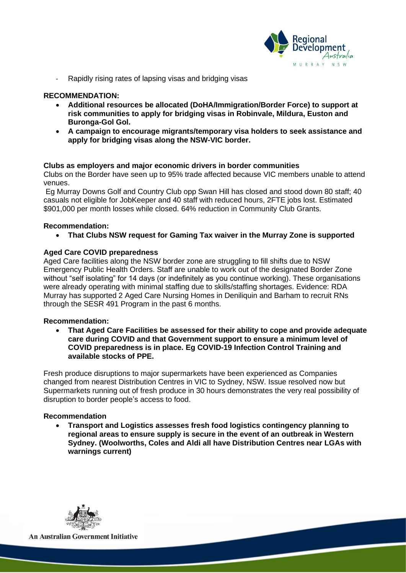

Rapidly rising rates of lapsing visas and bridging visas

## **RECOMMENDATION:**

- **Additional resources be allocated (DoHA/Immigration/Border Force) to support at risk communities to apply for bridging visas in Robinvale, Mildura, Euston and Buronga-Gol Gol.**
- **A campaign to encourage migrants/temporary visa holders to seek assistance and apply for bridging visas along the NSW-VIC border.**

## **Clubs as employers and major economic drivers in border communities**

Clubs on the Border have seen up to 95% trade affected because VIC members unable to attend venues.

Eg Murray Downs Golf and Country Club opp Swan Hill has closed and stood down 80 staff; 40 casuals not eligible for JobKeeper and 40 staff with reduced hours, 2FTE jobs lost. Estimated \$901,000 per month losses while closed. 64% reduction in Community Club Grants.

## **Recommendation:**

• **That Clubs NSW request for Gaming Tax waiver in the Murray Zone is supported**

## **Aged Care COVID preparedness**

Aged Care facilities along the NSW border zone are struggling to fill shifts due to NSW Emergency Public Health Orders. Staff are unable to work out of the designated Border Zone without "self isolating" for 14 days (or indefinitely as you continue working). These organisations were already operating with minimal staffing due to skills/staffing shortages. Evidence: RDA Murray has supported 2 Aged Care Nursing Homes in Deniliquin and Barham to recruit RNs through the SESR 491 Program in the past 6 months.

## **Recommendation:**

• **That Aged Care Facilities be assessed for their ability to cope and provide adequate care during COVID and that Government support to ensure a minimum level of COVID preparedness is in place. Eg COVID-19 Infection Control Training and available stocks of PPE.**

Fresh produce disruptions to major supermarkets have been experienced as Companies changed from nearest Distribution Centres in VIC to Sydney, NSW. Issue resolved now but Supermarkets running out of fresh produce in 30 hours demonstrates the very real possibility of disruption to border people's access to food.

## **Recommendation**

• **Transport and Logistics assesses fresh food logistics contingency planning to regional areas to ensure supply is secure in the event of an outbreak in Western Sydney. (Woolworths, Coles and Aldi all have Distribution Centres near LGAs with warnings current)**